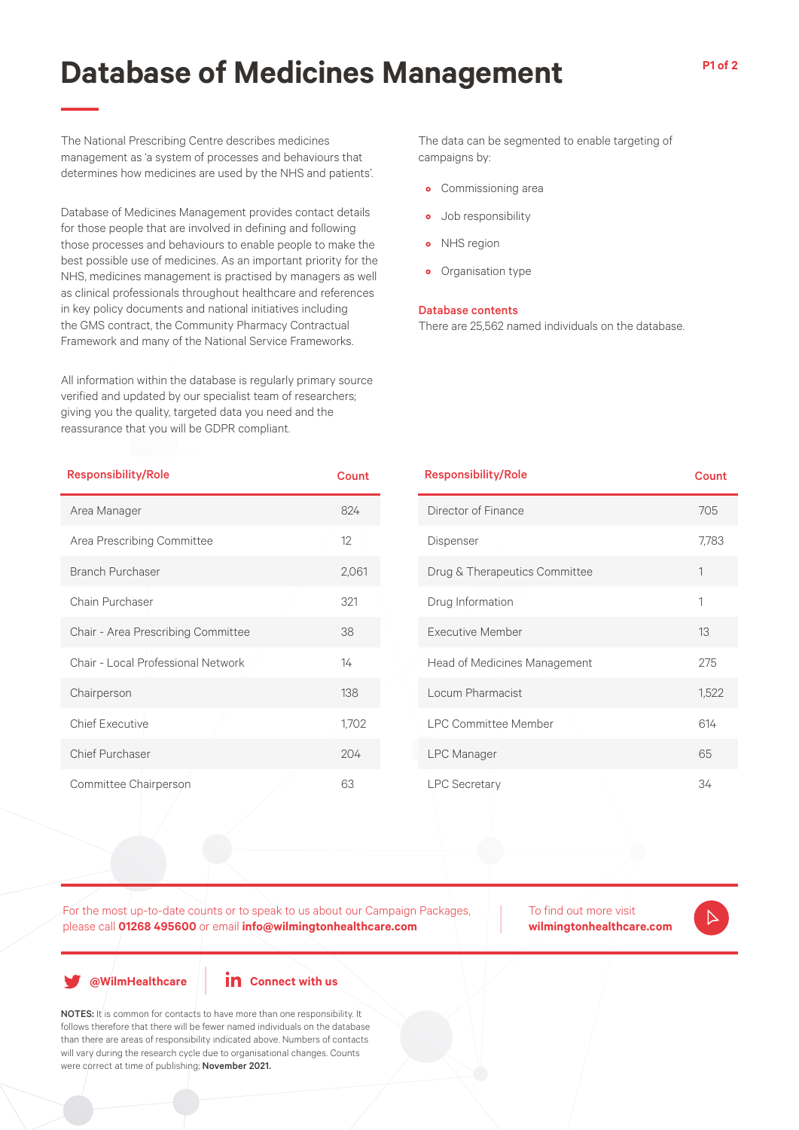## **Database of Medicines Management**

The National Prescribing Centre describes medicines management as 'a system of processes and behaviours that determines how medicines are used by the NHS and patients'.

Database of Medicines Management provides contact details for those people that are involved in defining and following those processes and behaviours to enable people to make the best possible use of medicines. As an important priority for the NHS, medicines management is practised by managers as well as clinical professionals throughout healthcare and references in key policy documents and national initiatives including the GMS contract, the Community Pharmacy Contractual Framework and many of the National Service Frameworks.

All information within the database is regularly primary source verified and updated by our specialist team of researchers; giving you the quality, targeted data you need and the reassurance that you will be GDPR compliant.

| <b>Responsibility/Role</b>         | Count |
|------------------------------------|-------|
| Area Manager                       | 824   |
| Area Prescribing Committee         | 12    |
| <b>Branch Purchaser</b>            | 2,061 |
| Chain Purchaser                    | 321   |
| Chair - Area Prescribing Committee | 38    |
| Chair - Local Professional Network | 14    |
| Chairperson                        | 138   |
| <b>Chief Executive</b>             | 1,702 |
| Chief Purchaser                    | 204   |
| Committee Chairperson              | 63    |

The data can be segmented to enable targeting of campaigns by:

- Commissioning area
- Job responsibility
- NHS region
- Organisation type

#### Database contents

There are 25,562 named individuals on the database.

| <b>Responsibility/Role</b>          | Count |
|-------------------------------------|-------|
| Director of Finance                 | 705   |
| Dispenser                           | 7,783 |
| Drug & Therapeutics Committee       | 1     |
| Drug Information                    | 1     |
| <b>Executive Member</b>             | 13    |
| <b>Head of Medicines Management</b> | 275   |
| Locum Pharmacist                    | 1,522 |
| <b>LPC Committee Member</b>         | 614   |
| <b>LPC</b> Manager                  | 65    |
| <b>LPC Secretary</b>                | 34    |

For the most up-to-date counts or to speak to us about our Campaign Packages, please call **01268 495600** or email **info@wilmingtonhealthcare.com**

To find out more visit **wilmingtonhealthcare.com**

**@WilmHealthcare**

## **in** Connect with us

NOTES: It is common for contacts to have more than one responsibility. It follows therefore that there will be fewer named individuals on the database than there are areas of responsibility indicated above. Numbers of contacts will vary during the research cycle due to organisational changes. Counts were correct at time of publishing; November 2021.